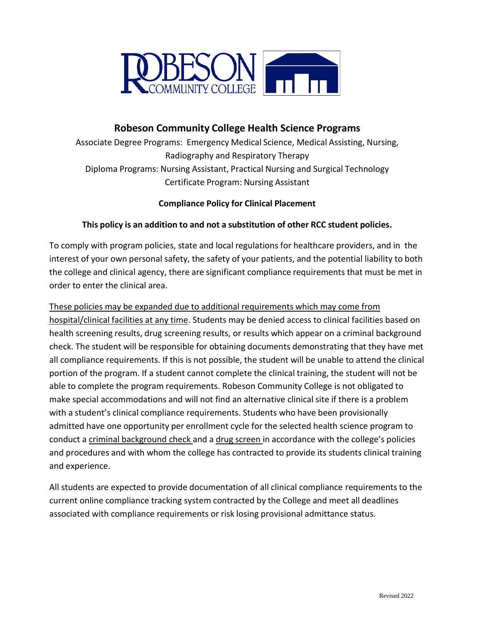

# **Robeson Community College Health Science Programs**

Associate Degree Programs: Emergency Medical Science, Medical Assisting, Nursing, Radiography and Respiratory Therapy Diploma Programs: Nursing Assistant, Practical Nursing and Surgical Technology Certificate Program: Nursing Assistant

## **Compliance Policy for Clinical Placement**

### **This policy is an addition to and not a substitution of other RCC student policies.**

To comply with program policies, state and local regulations for healthcare providers, and in the interest of your own personal safety, the safety of your patients, and the potential liability to both the college and clinical agency, there are significant compliance requirements that must be met in order to enter the clinical area.

#### These policies may be expanded due to additional requirements which may come from

hospital/clinical facilities at any time. Students may be denied access to clinical facilities based on health screening results, drug screening results, or results which appear on a criminal background check. The student will be responsible for obtaining documents demonstrating that they have met all compliance requirements. If this is not possible, the student will be unable to attend the clinical portion of the program. If a student cannot complete the clinical training, the student will not be able to complete the program requirements. Robeson Community College is not obligated to make special accommodations and will not find an alternative clinical site if there is a problem with a student's clinical compliance requirements. Students who have been provisionally admitted have one opportunity per enrollment cycle for the selected health science program to conduct a criminal background check and a drug screen in accordance with the college's policies and procedures and with whom the college has contracted to provide its students clinical training and experience.

All students are expected to provide documentation of all clinical compliance requirements to the current online compliance tracking system contracted by the College and meet all deadlines associated with compliance requirements or risk losing provisional admittance status.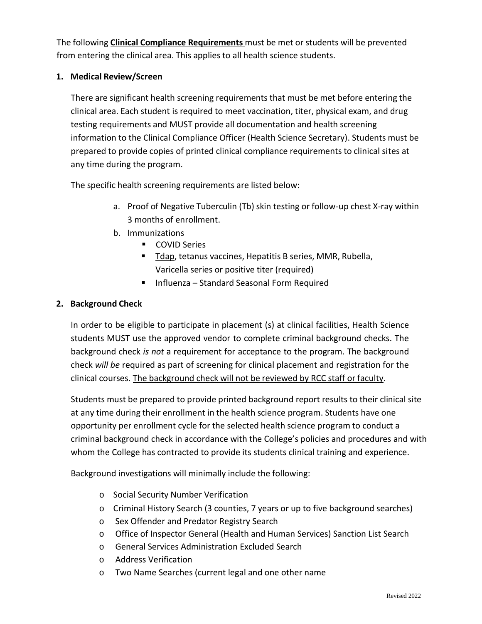The following **Clinical Compliance Requirements** must be met or students will be prevented from entering the clinical area. This applies to all health science students.

### **1. Medical Review/Screen**

There are significant health screening requirements that must be met before entering the clinical area. Each student is required to meet vaccination, titer, physical exam, and drug testing requirements and MUST provide all documentation and health screening information to the Clinical Compliance Officer (Health Science Secretary). Students must be prepared to provide copies of printed clinical compliance requirements to clinical sites at any time during the program.

The specific health screening requirements are listed below:

- a. Proof of Negative Tuberculin (Tb) skin testing or follow-up chest X-ray within 3 months of enrollment.
- b. Immunizations
	- **COVID Series**
	- Tdap, tetanus vaccines, Hepatitis B series, MMR, Rubella, Varicella series or positive titer (required)
	- Influenza Standard Seasonal Form Required

### **2. Background Check**

In order to be eligible to participate in placement (s) at clinical facilities, Health Science students MUST use the approved vendor to complete criminal background checks. The background check *is not* a requirement for acceptance to the program. The background check *will be* required as part of screening for clinical placement and registration for the clinical courses. The background check will not be reviewed by RCC staff or faculty.

Students must be prepared to provide printed background report results to their clinical site at any time during their enrollment in the health science program. Students have one opportunity per enrollment cycle for the selected health science program to conduct a criminal background check in accordance with the College's policies and procedures and with whom the College has contracted to provide its students clinical training and experience.

Background investigations will minimally include the following:

- o Social Security Number Verification
- o Criminal History Search (3 counties, 7 years or up to five background searches)
- o Sex Offender and Predator Registry Search
- o Office of Inspector General (Health and Human Services) Sanction List Search
- o General Services Administration Excluded Search
- o Address Verification
- o Two Name Searches (current legal and one other name